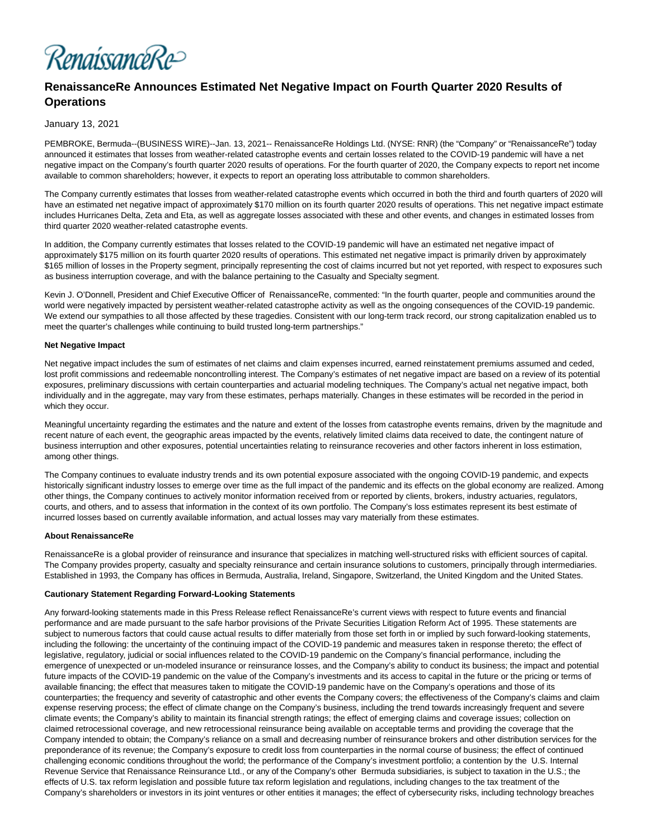

# **RenaissanceRe Announces Estimated Net Negative Impact on Fourth Quarter 2020 Results of Operations**

## January 13, 2021

PEMBROKE, Bermuda--(BUSINESS WIRE)--Jan. 13, 2021-- RenaissanceRe Holdings Ltd. (NYSE: RNR) (the "Company" or "RenaissanceRe") today announced it estimates that losses from weather-related catastrophe events and certain losses related to the COVID-19 pandemic will have a net negative impact on the Company's fourth quarter 2020 results of operations. For the fourth quarter of 2020, the Company expects to report net income available to common shareholders; however, it expects to report an operating loss attributable to common shareholders.

The Company currently estimates that losses from weather-related catastrophe events which occurred in both the third and fourth quarters of 2020 will have an estimated net negative impact of approximately \$170 million on its fourth quarter 2020 results of operations. This net negative impact estimate includes Hurricanes Delta, Zeta and Eta, as well as aggregate losses associated with these and other events, and changes in estimated losses from third quarter 2020 weather-related catastrophe events.

In addition, the Company currently estimates that losses related to the COVID-19 pandemic will have an estimated net negative impact of approximately \$175 million on its fourth quarter 2020 results of operations. This estimated net negative impact is primarily driven by approximately \$165 million of losses in the Property segment, principally representing the cost of claims incurred but not yet reported, with respect to exposures such as business interruption coverage, and with the balance pertaining to the Casualty and Specialty segment.

Kevin J. O'Donnell, President and Chief Executive Officer of RenaissanceRe, commented: "In the fourth quarter, people and communities around the world were negatively impacted by persistent weather-related catastrophe activity as well as the ongoing consequences of the COVID-19 pandemic. We extend our sympathies to all those affected by these tragedies. Consistent with our long-term track record, our strong capitalization enabled us to meet the quarter's challenges while continuing to build trusted long-term partnerships."

### **Net Negative Impact**

Net negative impact includes the sum of estimates of net claims and claim expenses incurred, earned reinstatement premiums assumed and ceded, lost profit commissions and redeemable noncontrolling interest. The Company's estimates of net negative impact are based on a review of its potential exposures, preliminary discussions with certain counterparties and actuarial modeling techniques. The Company's actual net negative impact, both individually and in the aggregate, may vary from these estimates, perhaps materially. Changes in these estimates will be recorded in the period in which they occur.

Meaningful uncertainty regarding the estimates and the nature and extent of the losses from catastrophe events remains, driven by the magnitude and recent nature of each event, the geographic areas impacted by the events, relatively limited claims data received to date, the contingent nature of business interruption and other exposures, potential uncertainties relating to reinsurance recoveries and other factors inherent in loss estimation, among other things.

The Company continues to evaluate industry trends and its own potential exposure associated with the ongoing COVID-19 pandemic, and expects historically significant industry losses to emerge over time as the full impact of the pandemic and its effects on the global economy are realized. Among other things, the Company continues to actively monitor information received from or reported by clients, brokers, industry actuaries, regulators, courts, and others, and to assess that information in the context of its own portfolio. The Company's loss estimates represent its best estimate of incurred losses based on currently available information, and actual losses may vary materially from these estimates.

#### **About RenaissanceRe**

RenaissanceRe is a global provider of reinsurance and insurance that specializes in matching well-structured risks with efficient sources of capital. The Company provides property, casualty and specialty reinsurance and certain insurance solutions to customers, principally through intermediaries. Established in 1993, the Company has offices in Bermuda, Australia, Ireland, Singapore, Switzerland, the United Kingdom and the United States.

#### **Cautionary Statement Regarding Forward-Looking Statements**

Any forward-looking statements made in this Press Release reflect RenaissanceRe's current views with respect to future events and financial performance and are made pursuant to the safe harbor provisions of the Private Securities Litigation Reform Act of 1995. These statements are subject to numerous factors that could cause actual results to differ materially from those set forth in or implied by such forward-looking statements, including the following: the uncertainty of the continuing impact of the COVID-19 pandemic and measures taken in response thereto; the effect of legislative, regulatory, judicial or social influences related to the COVID-19 pandemic on the Company's financial performance, including the emergence of unexpected or un-modeled insurance or reinsurance losses, and the Company's ability to conduct its business; the impact and potential future impacts of the COVID-19 pandemic on the value of the Company's investments and its access to capital in the future or the pricing or terms of available financing; the effect that measures taken to mitigate the COVID-19 pandemic have on the Company's operations and those of its counterparties; the frequency and severity of catastrophic and other events the Company covers; the effectiveness of the Company's claims and claim expense reserving process; the effect of climate change on the Company's business, including the trend towards increasingly frequent and severe climate events; the Company's ability to maintain its financial strength ratings; the effect of emerging claims and coverage issues; collection on claimed retrocessional coverage, and new retrocessional reinsurance being available on acceptable terms and providing the coverage that the Company intended to obtain; the Company's reliance on a small and decreasing number of reinsurance brokers and other distribution services for the preponderance of its revenue; the Company's exposure to credit loss from counterparties in the normal course of business; the effect of continued challenging economic conditions throughout the world; the performance of the Company's investment portfolio; a contention by the U.S. Internal Revenue Service that Renaissance Reinsurance Ltd., or any of the Company's other Bermuda subsidiaries, is subject to taxation in the U.S.; the effects of U.S. tax reform legislation and possible future tax reform legislation and regulations, including changes to the tax treatment of the Company's shareholders or investors in its joint ventures or other entities it manages; the effect of cybersecurity risks, including technology breaches